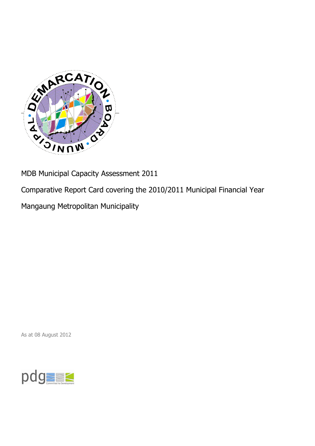

MDB Municipal Capacity Assessment 2011

Comparative Report Card covering the 2010/2011 Municipal Financial Year

Mangaung Metropolitan Municipality

As at 08 August 2012

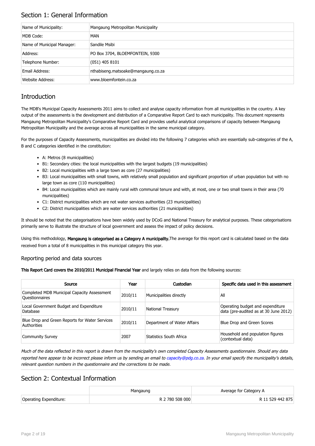## Section 1: General Information

| Name of Municipality:      | Mangaung Metropolitan Municipality |
|----------------------------|------------------------------------|
| MDB Code:                  | MAN                                |
| Name of Municipal Manager: | Sandile Msibi                      |
| Address:                   | PO Box 3704, BLOEMFONTEIN, 9300    |
| Telephone Number:          | $(051)$ 405 8101                   |
| Email Address:             | nthabiseng.matsoake@mangaung.co.za |
| Website Address:           | www.bloemfontein.co.za             |

## **Introduction**

The MDB's Municipal Capacity Assessments 2011 aims to collect and analyse capacity information from all municipalities in the country. A key output of the assessments is the development and distribution of a Comparative Report Card to each municipality. This document represents Mangaung Metropolitan Municipality's Comparative Report Card and provides useful analytical comparisons of capacity between Mangaung Metropolitan Municipality and the average across all municipalities in the same municipal category.

For the purposes of Capacity Assessments, municipalities are divided into the following 7 categories which are essentially sub-categories of the A, B and C categories identified in the constitution:

- A: Metros (8 municipalities)
- B1: Secondary cities: the local municipalities with the largest budgets (19 municipalities)
- B2: Local municipalities with a large town as core (27 municipalities)
- B3: Local municipalities with small towns, with relatively small population and significant proportion of urban population but with no large town as core (110 municipalities)
- B4: Local municipalities which are mainly rural with communal tenure and with, at most, one or two small towns in their area (70 municipalities)
- C1: District municipalities which are not water services authorities (23 municipalities)
- C2: District municipalities which are water services authorities (21 municipalities)

It should be noted that the categorisations have been widely used by DCoG and National Treasury for analytical purposes. These categorisations primarily serve to illustrate the structure of local government and assess the impact of policy decisions.

Using this methodology, Mangaung is categorised as a Category A municipality. The average for this report card is calculated based on the data received from a total of 8 municipalities in this municipal category this year.

#### Reporting period and data sources

This Report Card covers the 2010/2011 Municipal Financial Year and largely relies on data from the following sources:

| Source                                                               | Year    | Custodian                   | Specific data used in this assessment                                     |
|----------------------------------------------------------------------|---------|-----------------------------|---------------------------------------------------------------------------|
| Completed MDB Municipal Capacity Assessment<br><b>Ouestionnaires</b> | 2010/11 | Municipalities directly     | All                                                                       |
| Local Government Budget and Expenditure<br>Database                  | 2010/11 | <b>National Treasury</b>    | Operating budget and expenditure<br>data (pre-audited as at 30 June 2012) |
| Blue Drop and Green Reports for Water Services<br>Authorities        | 2010/11 | Department of Water Affairs | Blue Drop and Green Scores                                                |
| <b>Community Survey</b>                                              | 2007    | Statistics South Africa     | Household and population figures<br>(contextual data)                     |

Much of the data reflected in this report is drawn from the municipality's own completed Capacity Assessments questionnaire. Should any data reported here appear to be incorrect please inform us by sending an email to [capacity@pdg.co.za](mailto:capacity@pdg.co.za). In your email specify the municipality's details, relevant question numbers in the questionnaire and the corrections to be made.

## Section 2: Contextual Information

|                        | Mangaung        | Average for Category A |
|------------------------|-----------------|------------------------|
| Operating Expenditure: | R 2 780 508 000 | R 11 529 442 875       |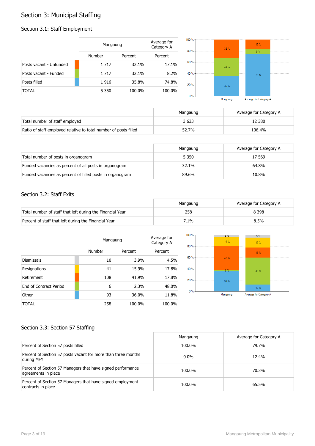## Section 3: Municipal Staffing

## Section 3.1: Staff Employment

|                         | Mangaung      |         | Average for<br>Category A | $100 \%$ -<br>$80% -$ | $32 \%$ | 17 <sup>1</sup> |
|-------------------------|---------------|---------|---------------------------|-----------------------|---------|-----------------|
|                         | <b>Number</b> | Percent | Percent                   |                       |         | 8 <sup>o</sup>  |
| Posts vacant - Unfunded | 1 7 1 7       | 32.1%   | 17.1%                     | $60% -$               | $32 \%$ |                 |
| Posts vacant - Funded   | 1 7 1 7       | 32.1%   | 8.2%                      | 40 % -                |         | 75'             |
| Posts filled            | 1916          | 35.8%   | 74.8%                     | $20% -$               | 36 %    |                 |
| <b>TOTAL</b>            | 5 3 5 0       | 100.0%  | 100.0%                    |                       |         |                 |
|                         |               |         |                           | $0% -$                |         |                 |

Average for Category A Mangaung

|                                                                  | Mangaung | Average for Category A |
|------------------------------------------------------------------|----------|------------------------|
| Total number of staff employed                                   | 3 633    | 12 380                 |
| Ratio of staff employed relative to total number of posts filled | 52.7%    | 106.4%                 |

|                                                           | Mangaung | Average for Category A |
|-----------------------------------------------------------|----------|------------------------|
| Total number of posts in organogram                       | 5 3 5 0  | 17 569                 |
| Funded vacancies as percent of all posts in organogram    | 32.1%    | 64.8%                  |
| Funded vacancies as percent of filled posts in organogram | 89.6%    | 10.8%                  |

### Section 3.2: Staff Exits

|                                                           | Mangaung | Average for Category A |
|-----------------------------------------------------------|----------|------------------------|
| Total number of staff that left during the Financial Year | 258      | 8 3 9 8                |
| Percent of staff that left during the Financial Year      | 7.1%     | 8.5%                   |

|                        |        | Mangaung |         |  |
|------------------------|--------|----------|---------|--|
|                        | Number | Percent  | Percent |  |
| <b>Dismissals</b>      | 10     | 3.9%     | 4.5%    |  |
| Resignations           | 41     | 15.9%    | 17.8%   |  |
| Retirement             | 108    | 41.9%    | 17.8%   |  |
| End of Contract Period | 6      | 2.3%     | 48.0%   |  |
| Other                  | 93     | 36.0%    | 11.8%   |  |
| TOTAL                  | 258    | 100.0%   | 100.0%  |  |



## Section 3.3: Section 57 Staffing

|                                                                                    | Mangaung | Average for Category A |
|------------------------------------------------------------------------------------|----------|------------------------|
| Percent of Section 57 posts filled                                                 | 100.0%   | 79.7%                  |
| Percent of Section 57 posts vacant for more than three months<br>during MFY        | $0.0\%$  | 12.4%                  |
| Percent of Section 57 Managers that have signed performance<br>agreements in place | 100.0%   | 70.3%                  |
| Percent of Section 57 Managers that have signed employment<br>contracts in place   | 100.0%   | 65.5%                  |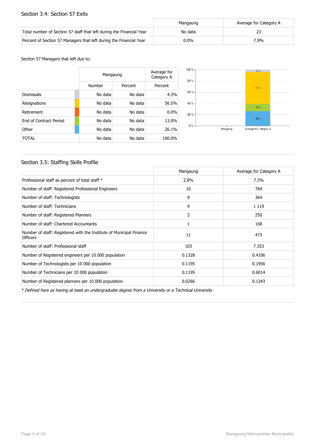#### Section 3.4: Section 57 Exits

|                                                                      | Mangaung | Average for Category A |
|----------------------------------------------------------------------|----------|------------------------|
| Total number of Section 57 staff that left during the Financial Year | No data  |                        |
| Percent of Section 57 Managers that left during the Financial Year   | $0.0\%$  | 7.9%                   |

Section 57 Managers that left due to:

|                        |         | Mangaung |         |  |
|------------------------|---------|----------|---------|--|
|                        | Number  | Percent  | Percent |  |
| <b>Dismissals</b>      | No data | No data  | 4.3%    |  |
| Resignations           | No data | No data  | 56.5%   |  |
| Retirement             | No data | No data  | $0.0\%$ |  |
| End of Contract Period | No data | No data  | 13.0%   |  |
| Other                  | No data | No data  | 26.1%   |  |
| TOTAL                  | No data | No data  | 100.0%  |  |



## Section 3.5: Staffing Skills Profile

|                                                                                        | Mangaung       | Average for Category A |
|----------------------------------------------------------------------------------------|----------------|------------------------|
| Professional staff as percent of total staff *                                         | 2.8%           | 7.3%                   |
| Number of staff: Registered Professional Engineers                                     | 10             | 764                    |
| Number of staff: Technologists                                                         | 9              | 364                    |
| Number of staff: Technicians                                                           | 9              | 1 1 1 9                |
| Number of staff: Registered Planners                                                   | $\overline{2}$ | 250                    |
| Number of staff: Chartered Accountants                                                 | 1              | 168                    |
| Number of staff: Registered with the Institute of Municipal Finance<br><b>Officers</b> | 11             | 473                    |
| Number of staff: Professional staff                                                    | 103            | 7 2 5 3                |
| Number of Registered engineers per 10 000 population                                   | 0.1328         | 0.4106                 |
| Number of Technologists per 10 000 population                                          | 0.1195         | 0.1956                 |
| Number of Technicians per 10 000 population                                            | 0.1195         | 0.6014                 |
| Number of Registered planners per 10 000 population                                    | 0.0266         | 0.1343                 |

\* Defined here as having at least an undergraduate degree from a University or a Technical University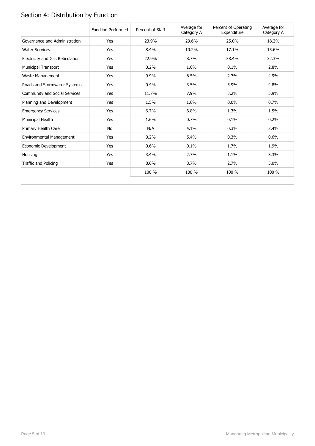# Section 4: Distribution by Function

|                                  | <b>Function Performed</b> | Percent of Staff | Average for<br>Category A | Percent of Operating<br>Expenditure | Average for<br>Category A |
|----------------------------------|---------------------------|------------------|---------------------------|-------------------------------------|---------------------------|
| Governance and Administration    | Yes                       | 23.9%            | 29.6%                     | 25.0%                               | 18.2%                     |
| <b>Water Services</b>            | Yes                       | 8.4%             | 10.2%                     | 17.1%                               | 15.6%                     |
| Electricity and Gas Reticulation | Yes                       | 22.9%            | 8.7%                      | 38.4%                               | 32.3%                     |
| <b>Municipal Transport</b>       | Yes                       | 0.2%             | 1.6%                      | 0.1%                                | 2.8%                      |
| Waste Management                 | Yes                       | 9.9%             | 8.5%                      | 2.7%                                | 4.9%                      |
| Roads and Stormwater Systems     | Yes                       | 0.4%             | 3.5%                      | 5.9%                                | 4.8%                      |
| Community and Social Services    | Yes                       | 11.7%            | 7.9%                      | 3.2%                                | 5.9%                      |
| Planning and Development         | Yes                       | 1.5%             | 1.6%                      | $0.0\%$                             | 0.7%                      |
| <b>Emergency Services</b>        | Yes                       | 6.7%             | 6.8%                      | 1.3%                                | 1.5%                      |
| Municipal Health                 | Yes                       | 1.6%             | 0.7%                      | 0.1%                                | 0.2%                      |
| Primary Health Care              | No                        | N/A              | 4.1%                      | 0.3%                                | 2.4%                      |
| Environmental Management         | Yes                       | 0.2%             | 5.4%                      | 0.3%                                | 0.6%                      |
| Economic Development             | Yes                       | 0.6%             | 0.1%                      | 1.7%                                | 1.9%                      |
| Housing                          | Yes                       | 3.4%             | 2.7%                      | 1.1%                                | 3.3%                      |
| Traffic and Policing             | Yes                       | 8.6%             | 8.7%                      | 2.7%                                | 5.0%                      |
|                                  |                           | 100 %            | 100 %                     | 100 %                               | 100 %                     |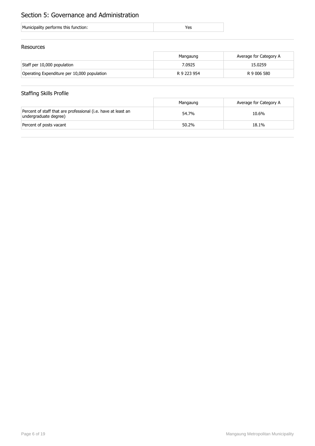## Section 5: Governance and Administration

| Municipality performs this function: |  |
|--------------------------------------|--|
|                                      |  |

### Resources

|                                             | Mangaung    | Average for Category A |
|---------------------------------------------|-------------|------------------------|
| Staff per 10,000 population                 | 7.0925      | 15.0259                |
| Operating Expenditure per 10,000 population | R 9 223 954 | R 9 006 580            |

## Staffing Skills Profile

|                                                                                        | Mangaung | Average for Category A |
|----------------------------------------------------------------------------------------|----------|------------------------|
| Percent of staff that are professional (i.e. have at least an<br>undergraduate degree) | 54.7%    | 10.6%                  |
| Percent of posts vacant                                                                | 50.2%    | 18.1%                  |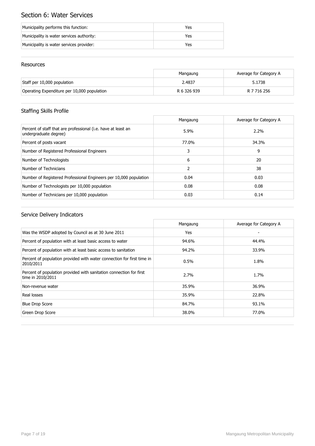## Section 6: Water Services

| Municipality performs this function:      | Yes |
|-------------------------------------------|-----|
| Municipality is water services authority: | Yes |
| Municipality is water services provider:  | Yes |

### Resources

|                                             | Mangaung    | Average for Category A |
|---------------------------------------------|-------------|------------------------|
| Staff per 10,000 population                 | 2.4837      | 5.1738                 |
| Operating Expenditure per 10,000 population | R 6 326 939 | R 7 716 256            |

## Staffing Skills Profile

|                                                                                        | Mangaung | Average for Category A |
|----------------------------------------------------------------------------------------|----------|------------------------|
| Percent of staff that are professional (i.e. have at least an<br>undergraduate degree) | 5.9%     | $2.2\%$                |
| Percent of posts vacant                                                                | 77.0%    | 34.3%                  |
| Number of Registered Professional Engineers                                            | 3        | 9                      |
| Number of Technologists                                                                | 6        | 20                     |
| Number of Technicians                                                                  | 2        | 38                     |
| Number of Registered Professional Engineers per 10,000 population                      | 0.04     | 0.03                   |
| Number of Technologists per 10,000 population                                          | 0.08     | 0.08                   |
| Number of Technicians per 10,000 population                                            | 0.03     | 0.14                   |

|                                                                                          | Mangaung | Average for Category A |
|------------------------------------------------------------------------------------------|----------|------------------------|
| Was the WSDP adopted by Council as at 30 June 2011                                       | Yes      |                        |
| Percent of population with at least basic access to water                                | 94.6%    | 44.4%                  |
| Percent of population with at least basic access to sanitation                           | 94.2%    | 33.9%                  |
| Percent of population provided with water connection for first time in<br>2010/2011      | 0.5%     | 1.8%                   |
| Percent of population provided with sanitation connection for first<br>time in 2010/2011 | 2.7%     | 1.7%                   |
| Non-revenue water                                                                        | 35.9%    | 36.9%                  |
| Real losses                                                                              | 35.9%    | 22.8%                  |
| <b>Blue Drop Score</b>                                                                   | 84.7%    | 93.1%                  |
| Green Drop Score                                                                         | 38.0%    | 77.0%                  |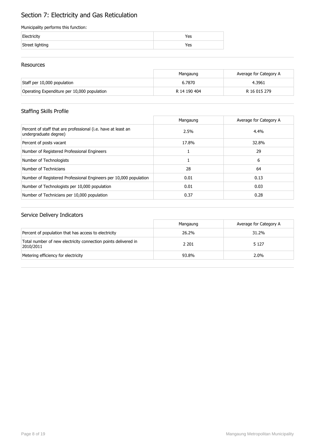## Section 7: Electricity and Gas Reticulation

#### Municipality performs this function:

| Electricity     | Yes |
|-----------------|-----|
| Street lighting | Yes |

### Resources

|                                             | Mangaung     | Average for Category A |
|---------------------------------------------|--------------|------------------------|
| Staff per 10,000 population                 | 6.7870       | 4.3961                 |
| Operating Expenditure per 10,000 population | R 14 190 404 | R 16 015 279           |

## Staffing Skills Profile

|                                                                                        | Mangaung | Average for Category A |
|----------------------------------------------------------------------------------------|----------|------------------------|
| Percent of staff that are professional (i.e. have at least an<br>undergraduate degree) | 2.5%     | 4.4%                   |
| Percent of posts vacant                                                                | 17.8%    | 32.8%                  |
| Number of Registered Professional Engineers                                            |          | 29                     |
| Number of Technologists                                                                |          | 6                      |
| Number of Technicians                                                                  | 28       | 64                     |
| Number of Registered Professional Engineers per 10,000 population                      | 0.01     | 0.13                   |
| Number of Technologists per 10,000 population                                          | 0.01     | 0.03                   |
| Number of Technicians per 10,000 population                                            | 0.37     | 0.28                   |

|                                                                             | Mangaung | Average for Category A |
|-----------------------------------------------------------------------------|----------|------------------------|
| Percent of population that has access to electricity                        | 26.2%    | 31.2%                  |
| Total number of new electricity connection points delivered in<br>2010/2011 | 2 2 0 1  | 5 1 2 7                |
| Metering efficiency for electricity                                         | 93.8%    | $2.0\%$                |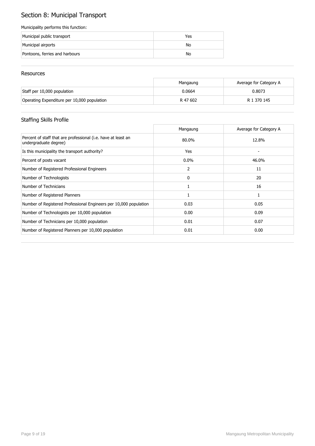# Section 8: Municipal Transport

#### Municipality performs this function:

| Municipal public transport     | Yes |
|--------------------------------|-----|
| Municipal airports             | No  |
| Pontoons, ferries and harbours | No  |

#### Resources

|                                             | Mangaung | Average for Category A |
|---------------------------------------------|----------|------------------------|
| Staff per 10,000 population                 | 0.0664   | 0.8073                 |
| Operating Expenditure per 10,000 population | R 47 602 | R 1 370 145            |

## Staffing Skills Profile

|                                                                                        | Mangaung | Average for Category A |
|----------------------------------------------------------------------------------------|----------|------------------------|
| Percent of staff that are professional (i.e. have at least an<br>undergraduate degree) | 80.0%    | 12.8%                  |
| Is this municipality the transport authority?                                          | Yes      |                        |
| Percent of posts vacant                                                                | $0.0\%$  | 46.0%                  |
| Number of Registered Professional Engineers                                            | 2        | 11                     |
| Number of Technologists                                                                | 0        | 20                     |
| Number of Technicians                                                                  |          | 16                     |
| Number of Registered Planners                                                          |          |                        |
| Number of Registered Professional Engineers per 10,000 population                      | 0.03     | 0.05                   |
| Number of Technologists per 10,000 population                                          | 0.00     | 0.09                   |
| Number of Technicians per 10,000 population                                            | 0.01     | 0.07                   |
| Number of Registered Planners per 10,000 population                                    | 0.01     | 0.00                   |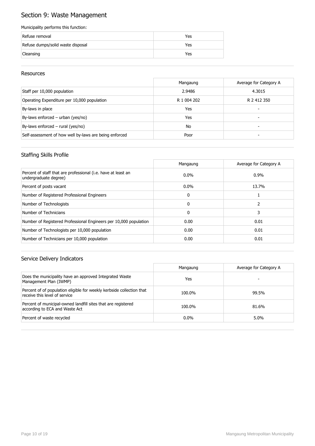## Section 9: Waste Management

#### Municipality performs this function:

| Refuse removal                    | Yes |
|-----------------------------------|-----|
| Refuse dumps/solid waste disposal | Yes |
| Cleansing                         | Yes |

#### Resources

|                                                        | Mangaung    | Average for Category A |
|--------------------------------------------------------|-------------|------------------------|
| Staff per 10,000 population                            | 2.9486      | 4.3015                 |
| Operating Expenditure per 10,000 population            | R 1 004 202 | R 2 412 350            |
| By-laws in place                                       | Yes         | -                      |
| By-laws enforced – urban (yes/no)                      | Yes         | -                      |
| By-laws enforced $-$ rural (yes/no)                    | <b>No</b>   |                        |
| Self-assessment of how well by-laws are being enforced | Poor        |                        |

## Staffing Skills Profile

|                                                                                        | Mangaung | Average for Category A |
|----------------------------------------------------------------------------------------|----------|------------------------|
| Percent of staff that are professional (i.e. have at least an<br>undergraduate degree) | $0.0\%$  | $0.9\%$                |
| Percent of posts vacant                                                                | $0.0\%$  | 13.7%                  |
| Number of Registered Professional Engineers                                            | 0        |                        |
| Number of Technologists                                                                | 0        |                        |
| Number of Technicians                                                                  | 0        |                        |
| Number of Registered Professional Engineers per 10,000 population                      | 0.00     | 0.01                   |
| Number of Technologists per 10,000 population                                          | 0.00     | 0.01                   |
| Number of Technicians per 10,000 population                                            | 0.00     | 0.01                   |

|                                                                                                        | Mangaung | Average for Category A |
|--------------------------------------------------------------------------------------------------------|----------|------------------------|
| Does the municipality have an approved Integrated Waste<br>Management Plan (IWMP)                      | Yes      |                        |
| Percent of of population eligible for weekly kerbside collection that<br>receive this level of service | 100.0%   | 99.5%                  |
| Percent of municipal-owned landfill sites that are registered<br>according to ECA and Waste Act        | 100.0%   | 81.6%                  |
| Percent of waste recycled                                                                              | $0.0\%$  | $5.0\%$                |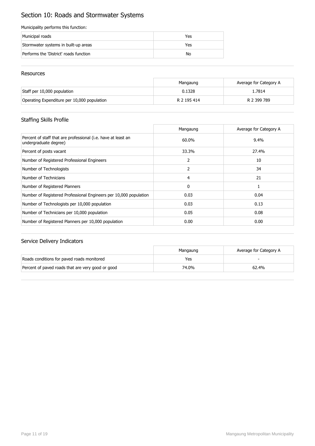## Section 10: Roads and Stormwater Systems

#### Municipality performs this function:

| Municipal roads                        | Yes |
|----------------------------------------|-----|
| Stormwater systems in built-up areas   | Yes |
| Performs the 'District' roads function | No  |

#### Resources

|                                             | Mangaung    | Average for Category A |
|---------------------------------------------|-------------|------------------------|
| Staff per 10,000 population                 | 0.1328      | 1.7814                 |
| Operating Expenditure per 10,000 population | R 2 195 414 | R 2 399 789            |

## Staffing Skills Profile

|                                                                                        | Mangaung     | Average for Category A |
|----------------------------------------------------------------------------------------|--------------|------------------------|
| Percent of staff that are professional (i.e. have at least an<br>undergraduate degree) | 60.0%        | 9.4%                   |
| Percent of posts vacant                                                                | 33.3%        | 27.4%                  |
| Number of Registered Professional Engineers                                            | 2            | 10                     |
| Number of Technologists                                                                | 2            | 34                     |
| Number of Technicians                                                                  | 4            | 21                     |
| Number of Registered Planners                                                          | $\mathbf{0}$ |                        |
| Number of Registered Professional Engineers per 10,000 population                      | 0.03         | 0.04                   |
| Number of Technologists per 10,000 population                                          | 0.03         | 0.13                   |
| Number of Technicians per 10,000 population                                            | 0.05         | 0.08                   |
| Number of Registered Planners per 10,000 population                                    | 0.00         | 0.00                   |

|                                                   | Mangaung | Average for Category A |
|---------------------------------------------------|----------|------------------------|
| Roads conditions for paved roads monitored        | Yes      |                        |
| Percent of paved roads that are very good or good | 74.0%    | 62.4%                  |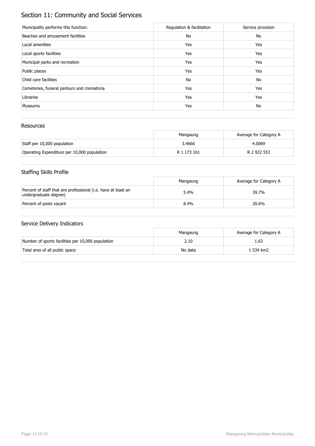## Section 11: Community and Social Services

| Municipality performs this function:        | Regulation & facilitation | Service provision |
|---------------------------------------------|---------------------------|-------------------|
| Beaches and amusement facilities            | No                        | No                |
| Local amenities                             | Yes                       | Yes               |
| Local sports facilities                     | Yes                       | Yes               |
| Municipal parks and recreation              | Yes                       | Yes               |
| Public places                               | Yes                       | Yes               |
| Child care facilities                       | No                        | No                |
| Cemeteries, funeral parlours and crematoria | Yes                       | Yes               |
| Libraries                                   | Yes                       | Yes               |
| <b>Museums</b>                              | Yes                       | No                |

### Resources

|                                             | Mangaung    | Average for Category A |
|---------------------------------------------|-------------|------------------------|
| Staff per 10,000 population                 | 3.4666      | 4.0069                 |
| Operating Expenditure per 10,000 population | R 1 173 161 | R 2 922 553            |

## Staffing Skills Profile

|                                                                                        | Mangaung | Average for Category A |
|----------------------------------------------------------------------------------------|----------|------------------------|
| Percent of staff that are professional (i.e. have at least an<br>undergraduate degree) | 5.4%     | 39.7%                  |
| Percent of posts vacant                                                                | 8.4%     | 20.6%                  |

|                                                   | Mangaung | Average for Category A |
|---------------------------------------------------|----------|------------------------|
| Number of sports facilities per 10,000 population | 2.10     | 1.63                   |
| Total area of all public space                    | No data  | 1 534 km2              |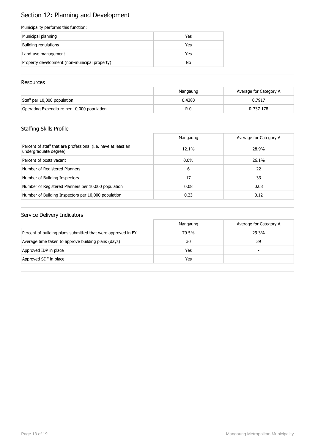# Section 12: Planning and Development

#### Municipality performs this function:

| Municipal planning                            | Yes |
|-----------------------------------------------|-----|
| Building regulations                          | Yes |
| Land-use management                           | Yes |
| Property development (non-municipal property) | No  |

#### **Resources**

|                                             | Mangaung | Average for Category A |
|---------------------------------------------|----------|------------------------|
| Staff per 10,000 population                 | 0.4383   | 0.7917                 |
| Operating Expenditure per 10,000 population | R 0      | R 337 178              |

## Staffing Skills Profile

|                                                                                        | Mangaung | Average for Category A |
|----------------------------------------------------------------------------------------|----------|------------------------|
| Percent of staff that are professional (i.e. have at least an<br>undergraduate degree) | 12.1%    | 28.9%                  |
| Percent of posts vacant                                                                | $0.0\%$  | 26.1%                  |
| Number of Registered Planners                                                          | 6        | 22                     |
| Number of Building Inspectors                                                          | 17       | 33                     |
| Number of Registered Planners per 10,000 population                                    | 0.08     | 0.08                   |
| Number of Building Inspectors per 10,000 population                                    | 0.23     | 0.12                   |

|                                                              | Mangaung | Average for Category A |
|--------------------------------------------------------------|----------|------------------------|
| Percent of building plans submitted that were approved in FY | 79.5%    | 29.3%                  |
| Average time taken to approve building plans (days)          | 30       | 39                     |
| Approved IDP in place                                        | Yes      | -                      |
| Approved SDF in place                                        | Yes      |                        |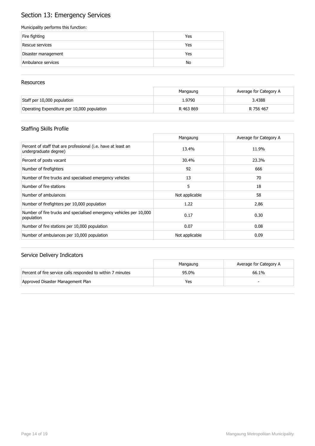## Section 13: Emergency Services

#### Municipality performs this function:

| Fire fighting       | Yes |
|---------------------|-----|
| Rescue services     | Yes |
| Disaster management | Yes |
| Ambulance services  | No  |

#### **Resources**

|                                             | Mangaung  | Average for Category A |
|---------------------------------------------|-----------|------------------------|
| Staff per 10,000 population                 | 1.9790    | 3.4388                 |
| Operating Expenditure per 10,000 population | R 463 869 | R 756 467              |

## Staffing Skills Profile

|                                                                                        | Mangaung       | Average for Category A |
|----------------------------------------------------------------------------------------|----------------|------------------------|
| Percent of staff that are professional (i.e. have at least an<br>undergraduate degree) | 13.4%          | 11.9%                  |
| Percent of posts vacant                                                                | 30.4%          | 23.3%                  |
| Number of firefighters                                                                 | 92             | 666                    |
| Number of fire trucks and specialised emergency vehicles                               | 13             | 70                     |
| Number of fire stations                                                                | 5              | 18                     |
| Number of ambulances                                                                   | Not applicable | 58                     |
| Number of firefighters per 10,000 population                                           | 1.22           | 2.86                   |
| Number of fire trucks and specialised emergency vehicles per 10,000<br>population      | 0.17           | 0.30                   |
| Number of fire stations per 10,000 population                                          | 0.07           | 0.08                   |
| Number of ambulances per 10,000 population                                             | Not applicable | 0.09                   |

|                                                             | Mangaung | Average for Category A |
|-------------------------------------------------------------|----------|------------------------|
| Percent of fire service calls responded to within 7 minutes | 95.0%    | 66.1%                  |
| Approved Disaster Management Plan                           | Yes      |                        |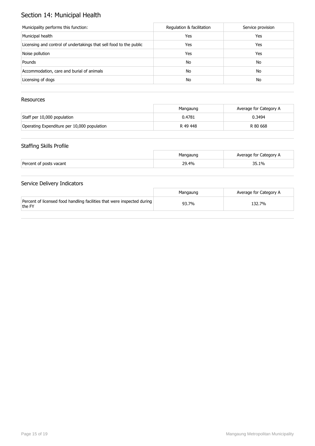## Section 14: Municipal Health

| Municipality performs this function:                               | Regulation & facilitation | Service provision |
|--------------------------------------------------------------------|---------------------------|-------------------|
| Municipal health                                                   | Yes                       | Yes               |
| Licensing and control of undertakings that sell food to the public | Yes                       | Yes               |
| Noise pollution                                                    | Yes                       | Yes               |
| Pounds                                                             | No                        | No                |
| Accommodation, care and burial of animals                          | No                        | No                |
| Licensing of dogs                                                  | No                        | No                |

## Resources

|                                             | Mangaung | Average for Category A |
|---------------------------------------------|----------|------------------------|
| Staff per 10,000 population                 | 0.4781   | 0.3494                 |
| Operating Expenditure per 10,000 population | R 49 448 | R 80 668               |

## Staffing Skills Profile

|                         | Mangaung | Average for Category A |
|-------------------------|----------|------------------------|
| Percent of posts vacant | 29.4%    | 35.1%                  |

|                                                                                   | Mangaung | Average for Category A |
|-----------------------------------------------------------------------------------|----------|------------------------|
| Percent of licensed food handling facilities that were inspected during<br>the FY | 93.7%    | 132.7%                 |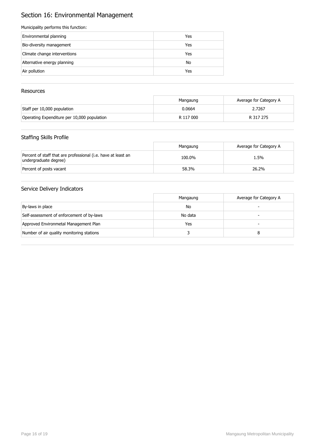## Section 16: Environmental Management

#### Municipality performs this function:

| Environmental planning       | Yes |
|------------------------------|-----|
| Bio-diversity management     | Yes |
| Climate change interventions | Yes |
| Alternative energy planning  | No  |
| Air pollution                | Yes |

## Resources

|                                             | Mangaung  | Average for Category A |
|---------------------------------------------|-----------|------------------------|
| Staff per 10,000 population                 | 0.0664    | 2.7267                 |
| Operating Expenditure per 10,000 population | R 117 000 | R 317 275              |

## Staffing Skills Profile

|                                                                                        | Mangaung | Average for Category A |
|----------------------------------------------------------------------------------------|----------|------------------------|
| Percent of staff that are professional (i.e. have at least an<br>undergraduate degree) | 100.0%   | 1.5%                   |
| Percent of posts vacant                                                                | 58.3%    | 26.2%                  |

|                                           | Mangaung | Average for Category A |
|-------------------------------------------|----------|------------------------|
| By-laws in place                          | No       |                        |
| Self-assessment of enforcement of by-laws | No data  |                        |
| Approved Environmetal Management Plan     | Yes      |                        |
| Number of air quality monitoring stations |          |                        |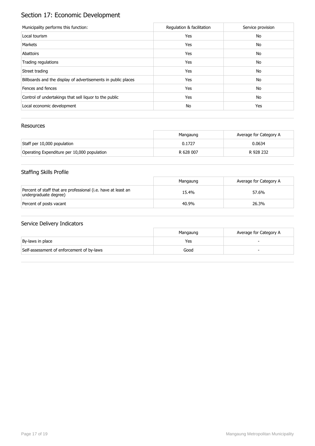# Section 17: Economic Development

| Municipality performs this function:                          | Regulation & facilitation | Service provision |
|---------------------------------------------------------------|---------------------------|-------------------|
| Local tourism                                                 | Yes                       | No                |
| Markets                                                       | Yes                       | No                |
| Abattoirs                                                     | Yes                       | No                |
| Trading regulations                                           | Yes                       | No                |
| Street trading                                                | Yes                       | No                |
| Billboards and the display of advertisements in public places | Yes                       | No                |
| Fences and fences                                             | Yes                       | No                |
| Control of undertakings that sell liquor to the public        | Yes                       | No                |
| Local economic development                                    | No                        | Yes               |

## Resources

|                                             | Mangaung  | Average for Category A |
|---------------------------------------------|-----------|------------------------|
| Staff per 10,000 population                 | 0.1727    | 0.0634                 |
| Operating Expenditure per 10,000 population | R 628 007 | R 928 232              |

## Staffing Skills Profile

|                                                                                        | Mangaung | Average for Category A |
|----------------------------------------------------------------------------------------|----------|------------------------|
| Percent of staff that are professional (i.e. have at least an<br>undergraduate degree) | 15.4%    | 57.6%                  |
| Percent of posts vacant                                                                | 40.9%    | 26.3%                  |

|                                           | Mangaung | Average for Category A |
|-------------------------------------------|----------|------------------------|
| By-laws in place                          | Yes      |                        |
| Self-assessment of enforcement of by-laws | Good     |                        |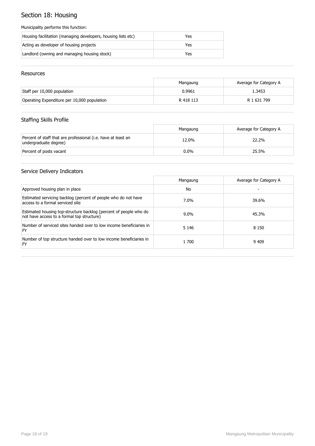## Section 18: Housing

#### Municipality performs this function:

| Housing facilitation (managing developers, housing lists etc) | Yes |
|---------------------------------------------------------------|-----|
| Acting as developer of housing projects                       | Yes |
| Landlord (owning and managing housing stock)                  | Yes |

#### Resources

|                                             | Mangaung  | Average for Category A |
|---------------------------------------------|-----------|------------------------|
| Staff per 10,000 population                 | 0.9961    | 1.3453                 |
| Operating Expenditure per 10,000 population | R 418 113 | R 1 631 799            |

## Staffing Skills Profile

|                                                                                        | Mangaung | Average for Category A |
|----------------------------------------------------------------------------------------|----------|------------------------|
| Percent of staff that are professional (i.e. have at least an<br>undergraduate degree) | 12.0%    | 22.2%                  |
| Percent of posts vacant                                                                | $0.0\%$  | 25.5%                  |

|                                                                                                                 | Mangaung | Average for Category A |
|-----------------------------------------------------------------------------------------------------------------|----------|------------------------|
| Approved housing plan in place                                                                                  | No       |                        |
| Estimated servicing backlog (percent of people who do not have<br>access to a formal serviced site              | 7.0%     | 39.6%                  |
| Estimated housing top-structure backlog (percent of people who do<br>not have access to a formal top structure) | $9.0\%$  | 45.3%                  |
| Number of serviced sites handed over to low income beneficiaries in<br>FY                                       | 5 1 4 6  | 8 1 5 0                |
| Number of top structure handed over to low income beneficiaries in<br>FY                                        | 1 700    | 9 4 0 9                |